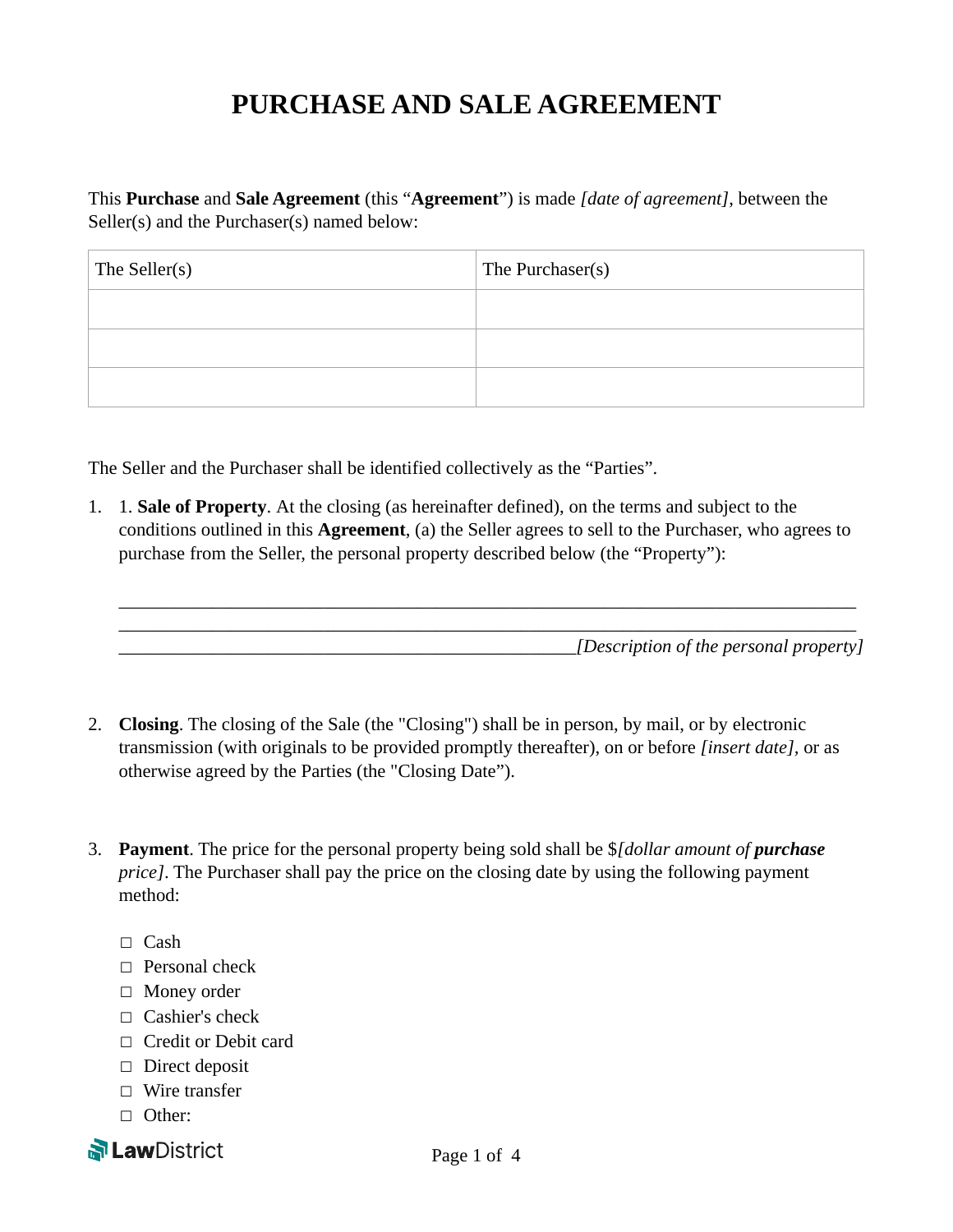## **PURCHASE AND SALE AGREEMENT**

This **Purchase** and **Sale Agreement** (this "**Agreement**") is made *[date of agreement]*, between the Seller(s) and the Purchaser(s) named below:

| The Seller(s) | The Purchaser(s) |
|---------------|------------------|
|               |                  |
|               |                  |
|               |                  |

The Seller and the Purchaser shall be identified collectively as the "Parties".

1. 1. **Sale of Property**. At the closing (as hereinafter defined), on the terms and subject to the conditions outlined in this **Agreement**, (a) the Seller agrees to sell to the Purchaser, who agrees to purchase from the Seller, the personal property described below (the "Property"):

\_\_\_\_\_\_\_\_\_\_\_\_\_\_\_\_\_\_\_\_\_\_\_\_\_\_\_\_\_\_\_\_\_\_\_\_\_\_\_\_\_\_\_\_\_\_\_\_\_\_\_\_\_\_\_\_\_\_\_\_\_\_\_\_\_\_\_\_\_\_\_\_\_\_\_\_\_\_\_ \_\_\_\_\_\_\_\_\_\_\_\_\_\_\_\_\_\_\_\_\_\_\_\_\_\_\_\_\_\_\_\_\_\_\_\_\_\_\_\_\_\_\_\_\_\_\_\_\_\_\_\_\_\_\_\_\_\_\_\_\_\_\_\_\_\_\_\_\_\_\_\_\_\_\_\_\_\_\_ \_\_\_\_\_\_\_\_\_\_\_\_\_\_\_\_\_\_\_\_\_\_\_\_\_\_\_\_\_\_\_\_\_\_\_\_\_\_\_\_\_\_\_\_\_\_\_\_\_*[Description of the personal property]* 

- 2. **Closing**. The closing of the Sale (the "Closing") shall be in person, by mail, or by electronic transmission (with originals to be provided promptly thereafter), on or before *[insert date],* or as otherwise agreed by the Parties (the "Closing Date").
- 3. **Payment**. The price for the personal property being sold shall be \$*[dollar amount of purchase price]*. The Purchaser shall pay the price on the closing date by using the following payment method:
	- $\Box$  Cash
	- □ Personal check
	- ☐ Money order
	- $\Box$  Cashier's check
	- □ Credit or Debit card
	- $\Box$  Direct deposit
	- ☐ Wire transfer
	- □ Other:

**N Law** District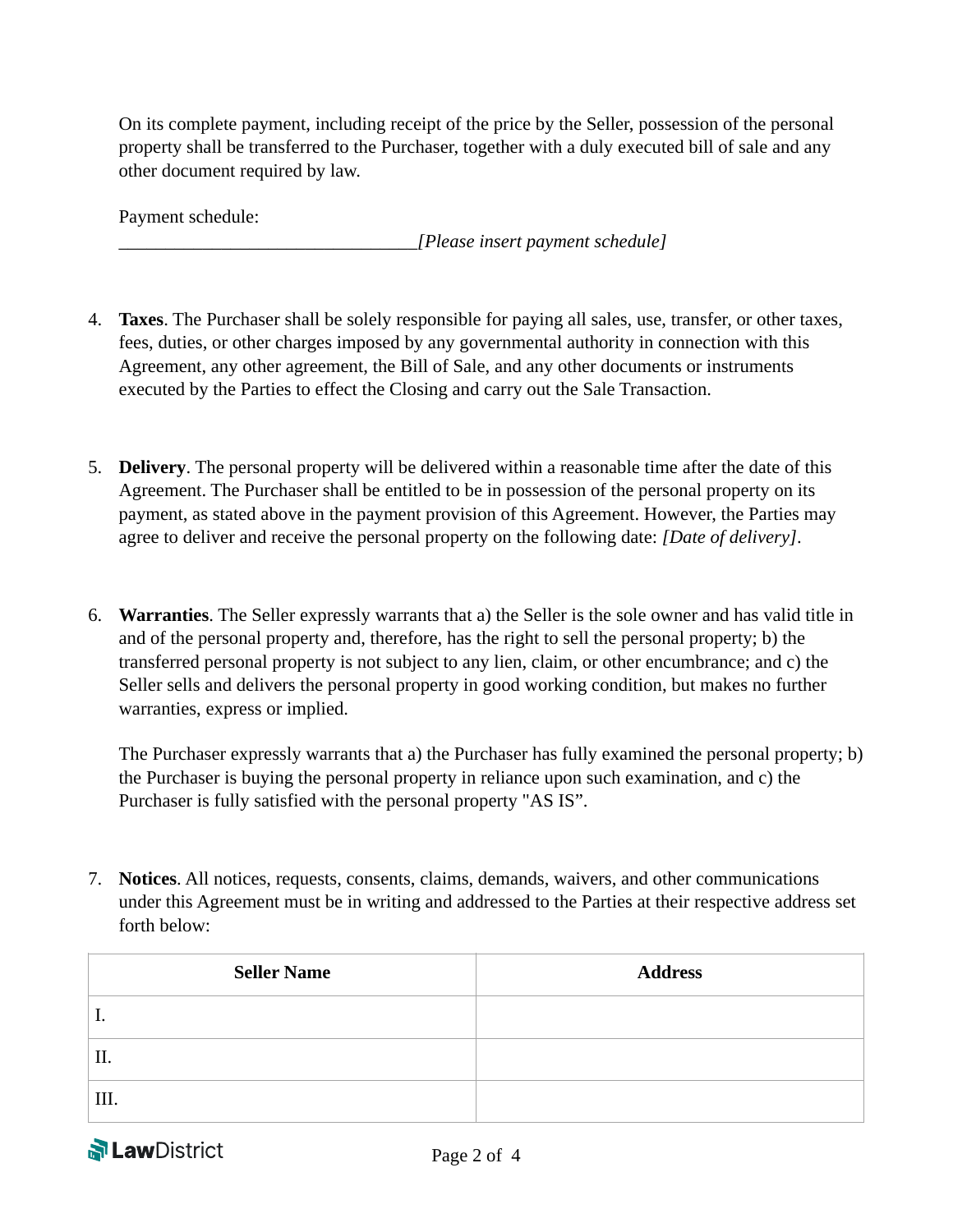On its complete payment, including receipt of the price by the Seller, possession of the personal property shall be transferred to the Purchaser, together with a duly executed bill of sale and any other document required by law.

Payment schedule:

\_\_\_\_\_\_\_\_\_\_\_\_\_\_\_\_\_\_\_\_\_\_\_\_\_\_\_\_\_\_\_\_*[Please insert payment schedule]* 

- 4. **Taxes**. The Purchaser shall be solely responsible for paying all sales, use, transfer, or other taxes, fees, duties, or other charges imposed by any governmental authority in connection with this Agreement, any other agreement, the Bill of Sale, and any other documents or instruments executed by the Parties to effect the Closing and carry out the Sale Transaction.
- 5. **Delivery**. The personal property will be delivered within a reasonable time after the date of this Agreement. The Purchaser shall be entitled to be in possession of the personal property on its payment, as stated above in the payment provision of this Agreement. However, the Parties may agree to deliver and receive the personal property on the following date: *[Date of delivery]*.
- 6. **Warranties**. The Seller expressly warrants that a) the Seller is the sole owner and has valid title in and of the personal property and, therefore, has the right to sell the personal property; b) the transferred personal property is not subject to any lien, claim, or other encumbrance; and c) the Seller sells and delivers the personal property in good working condition, but makes no further warranties, express or implied.

The Purchaser expressly warrants that a) the Purchaser has fully examined the personal property; b) the Purchaser is buying the personal property in reliance upon such examination, and c) the Purchaser is fully satisfied with the personal property "AS IS".

7. **Notices**. All notices, requests, consents, claims, demands, waivers, and other communications under this Agreement must be in writing and addressed to the Parties at their respective address set forth below:

| <b>Seller Name</b> | <b>Address</b> |
|--------------------|----------------|
| .,                 |                |
| Π.                 |                |
| III.               |                |

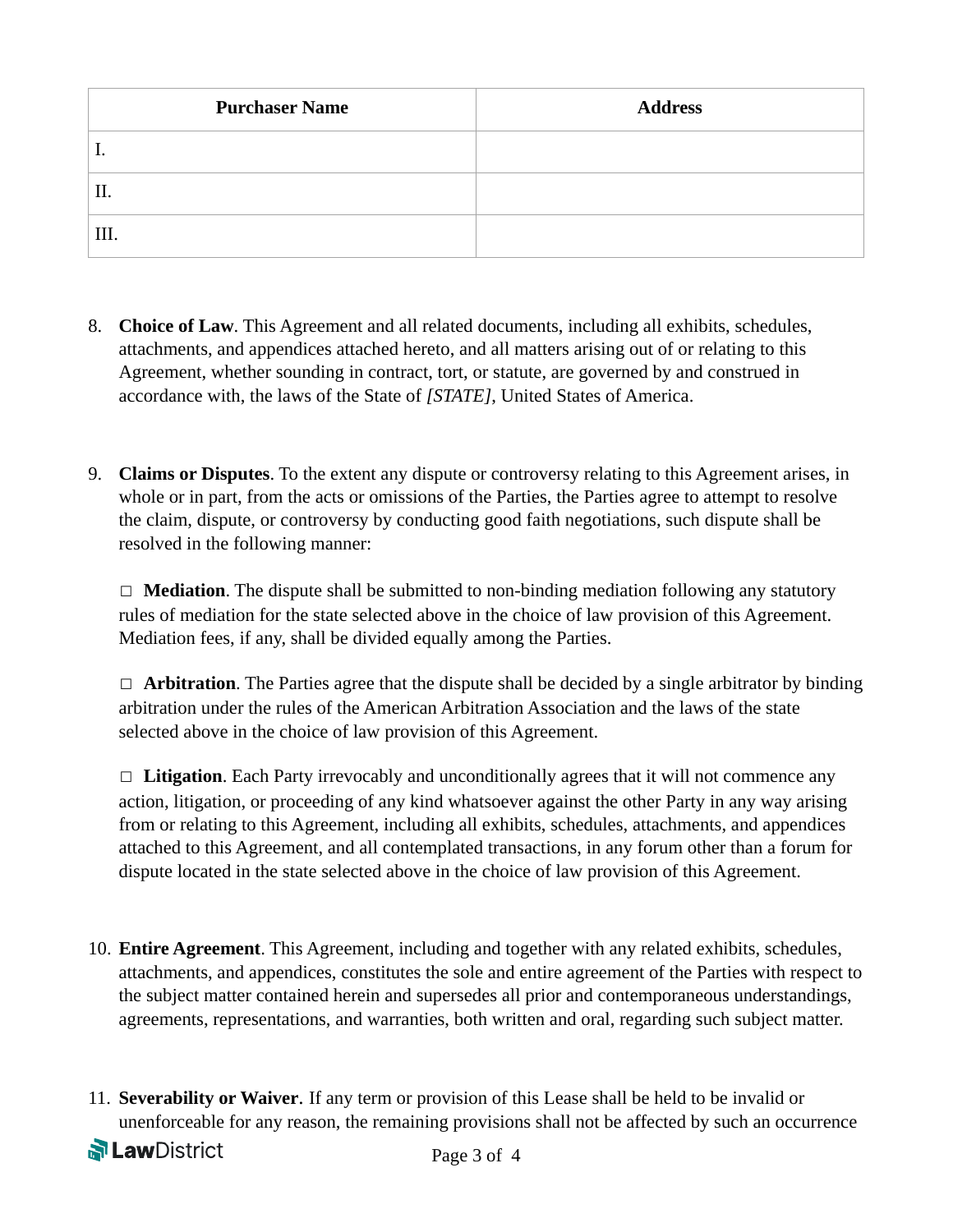| <b>Purchaser Name</b> | <b>Address</b> |
|-----------------------|----------------|
| . .                   |                |
| Π.                    |                |
| III.                  |                |

- 8. **Choice of Law**. This Agreement and all related documents, including all exhibits, schedules, attachments, and appendices attached hereto, and all matters arising out of or relating to this Agreement, whether sounding in contract, tort, or statute, are governed by and construed in accordance with, the laws of the State of *[STATE]*, United States of America.
- 9. **Claims or Disputes**. To the extent any dispute or controversy relating to this Agreement arises, in whole or in part, from the acts or omissions of the Parties, the Parties agree to attempt to resolve the claim, dispute, or controversy by conducting good faith negotiations, such dispute shall be resolved in the following manner:

☐ **Mediation**. The dispute shall be submitted to non-binding mediation following any statutory rules of mediation for the state selected above in the choice of law provision of this Agreement. Mediation fees, if any, shall be divided equally among the Parties.

☐ **Arbitration**. The Parties agree that the dispute shall be decided by a single arbitrator by binding arbitration under the rules of the American Arbitration Association and the laws of the state selected above in the choice of law provision of this Agreement.

☐ **Litigation**. Each Party irrevocably and unconditionally agrees that it will not commence any action, litigation, or proceeding of any kind whatsoever against the other Party in any way arising from or relating to this Agreement, including all exhibits, schedules, attachments, and appendices attached to this Agreement, and all contemplated transactions, in any forum other than a forum for dispute located in the state selected above in the choice of law provision of this Agreement.

- 10. **Entire Agreement**. This Agreement, including and together with any related exhibits, schedules, attachments, and appendices, constitutes the sole and entire agreement of the Parties with respect to the subject matter contained herein and supersedes all prior and contemporaneous understandings, agreements, representations, and warranties, both written and oral, regarding such subject matter.
- 11. **Severability or Waiver**. If any term or provision of this Lease shall be held to be invalid or unenforceable for any reason, the remaining provisions shall not be affected by such an occurrence